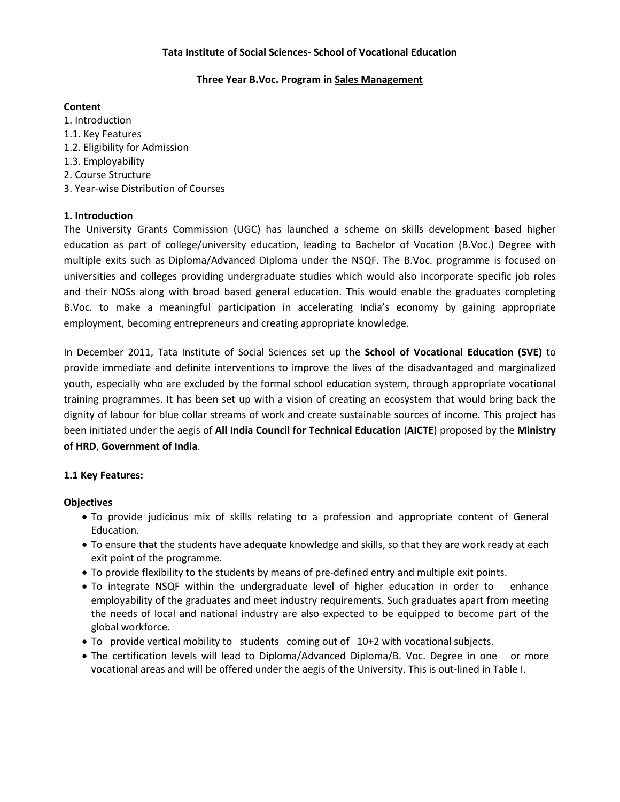### **Tata Institute of Social Sciences- School of Vocational Education**

### **Three Year B.Voc. Program in Sales Management**

### **Content**

1. Introduction 1.1. Key Features 1.2. Eligibility for Admission 1.3. Employability 2. Course Structure 3. Year-wise Distribution of Courses

# **1. Introduction**

The University Grants Commission (UGC) has launched a scheme on skills development based higher education as part of college/university education, leading to Bachelor of Vocation (B.Voc.) Degree with multiple exits such as Diploma/Advanced Diploma under the NSQF. The B.Voc. programme is focused on universities and colleges providing undergraduate studies which would also incorporate specific job roles and their NOSs along with broad based general education. This would enable the graduates completing B.Voc. to make a meaningful participation in accelerating India's economy by gaining appropriate employment, becoming entrepreneurs and creating appropriate knowledge.

In December 2011, Tata Institute of Social Sciences set up the **School of Vocational Education (SVE)** to provide immediate and definite interventions to improve the lives of the disadvantaged and marginalized youth, especially who are excluded by the formal school education system, through appropriate vocational training programmes. It has been set up with a vision of creating an ecosystem that would bring back the dignity of labour for blue collar streams of work and create sustainable sources of income. This project has been initiated under the aegis of **All India Council for Technical Education** (**AICTE**) proposed by the **Ministry of HRD**, **Government of India**.

# **1.1 Key Features:**

### **Objectives**

- To provide judicious mix of skills relating to a profession and appropriate content of General Education.
- To ensure that the students have adequate knowledge and skills, so that they are work ready at each exit point of the programme.
- To provide flexibility to the students by means of pre-defined entry and multiple exit points.
- To integrate NSQF within the undergraduate level of higher education in order to enhance employability of the graduates and meet industry requirements. Such graduates apart from meeting the needs of local and national industry are also expected to be equipped to become part of the global workforce.
- To provide vertical mobility to students coming out of 10+2 with vocational subjects.
- The certification levels will lead to Diploma/Advanced Diploma/B. Voc. Degree in one or more vocational areas and will be offered under the aegis of the University. This is out-lined in Table I.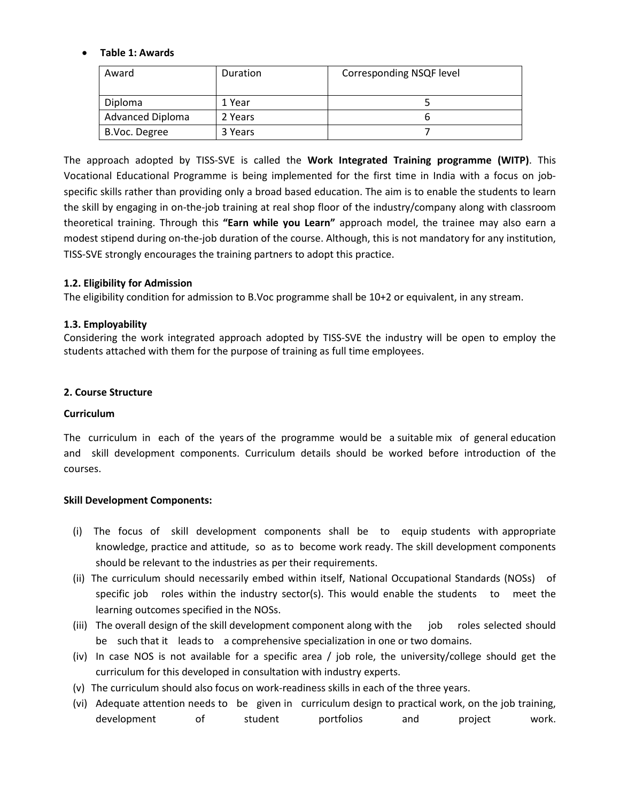# **Table 1: Awards**

| Award                   | Duration | Corresponding NSQF level |
|-------------------------|----------|--------------------------|
| Diploma                 | 1 Year   |                          |
| <b>Advanced Diploma</b> | 2 Years  |                          |
| B.Voc. Degree           | 3 Years  |                          |

The approach adopted by TISS-SVE is called the **Work Integrated Training programme (WITP)**. This Vocational Educational Programme is being implemented for the first time in India with a focus on jobspecific skills rather than providing only a broad based education. The aim is to enable the students to learn the skill by engaging in on-the-job training at real shop floor of the industry/company along with classroom theoretical training. Through this **"Earn while you Learn"** approach model, the trainee may also earn a modest stipend during on-the-job duration of the course. Although, this is not mandatory for any institution, TISS-SVE strongly encourages the training partners to adopt this practice.

### **1.2. Eligibility for Admission**

The eligibility condition for admission to B.Voc programme shall be 10+2 or equivalent, in any stream.

### **1.3. Employability**

Considering the work integrated approach adopted by TISS-SVE the industry will be open to employ the students attached with them for the purpose of training as full time employees.

### **2. Course Structure**

### **Curriculum**

The curriculum in each of the years of the programme would be a suitable mix of general education and skill development components. Curriculum details should be worked before introduction of the courses.

### **Skill Development Components:**

- (i) The focus of skill development components shall be to equip students with appropriate knowledge, practice and attitude, so as to become work ready. The skill development components should be relevant to the industries as per their requirements.
- (ii) The curriculum should necessarily embed within itself, National Occupational Standards (NOSs) of specific job roles within the industry sector(s). This would enable the students to meet the learning outcomes specified in the NOSs.
- (iii) The overall design of the skill development component along with the job roles selected should be such that it leads to a comprehensive specialization in one or two domains.
- (iv) In case NOS is not available for a specific area / job role, the university/college should get the curriculum for this developed in consultation with industry experts.
- (v) The curriculum should also focus on work-readiness skills in each of the three years.
- (vi) Adequate attention needs to be given in curriculum design to practical work, on the job training, development of student portfolios and project work.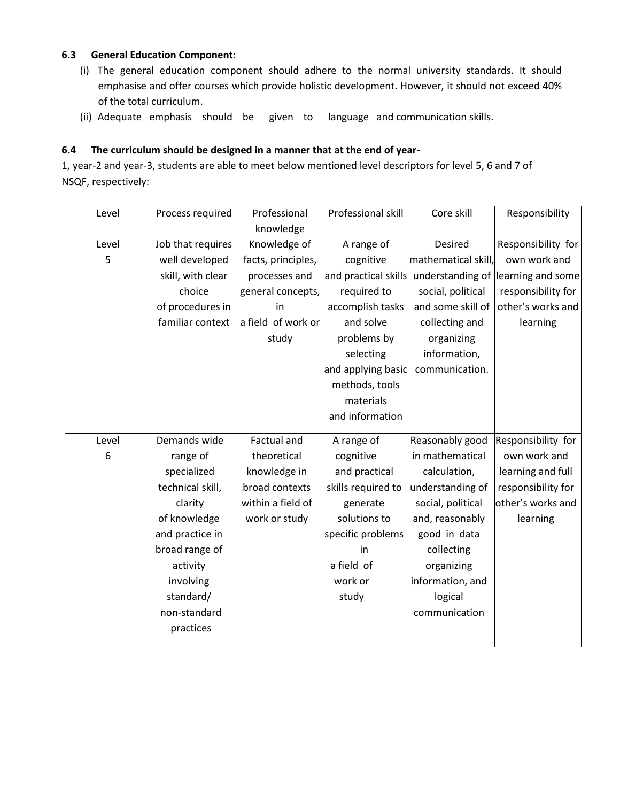# **6.3 General Education Component**:

- (i) The general education component should adhere to the normal university standards. It should emphasise and offer courses which provide holistic development. However, it should not exceed 40% of the total curriculum.
- (ii) Adequate emphasis should be given to language and communication skills.

# **6.4 The curriculum should be designed in a manner that at the end of year-**

1, year-2 and year-3, students are able to meet below mentioned level descriptors for level 5, 6 and 7 of NSQF, respectively:

| Level | Process required  | Professional       | Professional skill   | Core skill          | Responsibility     |
|-------|-------------------|--------------------|----------------------|---------------------|--------------------|
|       |                   | knowledge          |                      |                     |                    |
| Level | Job that requires | Knowledge of       | A range of           | Desired             | Responsibility for |
| 5     | well developed    | facts, principles, | cognitive            | mathematical skill, | own work and       |
|       | skill, with clear | processes and      | and practical skills | understanding of    | learning and some  |
|       | choice            | general concepts,  | required to          | social, political   | responsibility for |
|       | of procedures in  | in                 | accomplish tasks     | and some skill of   | other's works and  |
|       | familiar context  | a field of work or | and solve            | collecting and      | learning           |
|       |                   | study              | problems by          | organizing          |                    |
|       |                   |                    | selecting            | information,        |                    |
|       |                   |                    | and applying basic   | communication.      |                    |
|       |                   |                    | methods, tools       |                     |                    |
|       |                   |                    | materials            |                     |                    |
|       |                   |                    | and information      |                     |                    |
| Level | Demands wide      | Factual and        | A range of           | Reasonably good     | Responsibility for |
| 6     | range of          | theoretical        | cognitive            | in mathematical     | own work and       |
|       | specialized       | knowledge in       | and practical        | calculation,        | learning and full  |
|       | technical skill,  | broad contexts     | skills required to   | understanding of    | responsibility for |
|       | clarity           | within a field of  | generate             | social, political   | other's works and  |
|       | of knowledge      | work or study      | solutions to         | and, reasonably     | learning           |
|       | and practice in   |                    | specific problems    | good in data        |                    |
|       | broad range of    |                    | in                   | collecting          |                    |
|       | activity          |                    | a field of           | organizing          |                    |
|       | involving         |                    | work or              | information, and    |                    |
|       | standard/         |                    | study                | logical             |                    |
|       | non-standard      |                    |                      | communication       |                    |
|       | practices         |                    |                      |                     |                    |
|       |                   |                    |                      |                     |                    |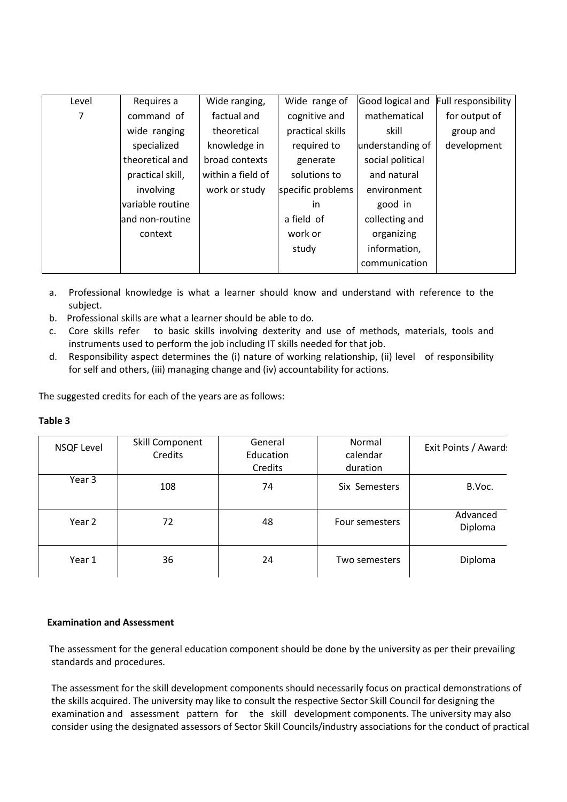| Level | Requires a       | Wide ranging,     | Wide range of     | Good logical and | <b>Full responsibility</b> |
|-------|------------------|-------------------|-------------------|------------------|----------------------------|
| 7     | command of       | factual and       | cognitive and     | mathematical     | for output of              |
|       | wide ranging     | theoretical       | practical skills  | skill            | group and                  |
|       | specialized      | knowledge in      | required to       | understanding of | development                |
|       | theoretical and  | broad contexts    | generate          | social political |                            |
|       | practical skill, | within a field of | solutions to      | and natural      |                            |
|       | involving        | work or study     | specific problems | environment      |                            |
|       | variable routine |                   | <i>in</i>         | good in          |                            |
|       | and non-routine  |                   | a field of        | collecting and   |                            |
|       | context          |                   | work or           | organizing       |                            |
|       |                  |                   | study             | information,     |                            |
|       |                  |                   |                   | communication    |                            |
|       |                  |                   |                   |                  |                            |

- a. Professional knowledge is what a learner should know and understand with reference to the subject.
- b. Professional skills are what a learner should be able to do.
- c. Core skills refer to basic skills involving dexterity and use of methods, materials, tools and instruments used to perform the job including IT skills needed for that job.
- d. Responsibility aspect determines the (i) nature of working relationship, (ii) level of responsibility for self and others, (iii) managing change and (iv) accountability for actions.

The suggested credits for each of the years are as follows:

| <b>NSQF Level</b> | Skill Component<br>Credits | General<br>Education<br>Credits | Normal<br>calendar<br>duration | Exit Points / Award: |
|-------------------|----------------------------|---------------------------------|--------------------------------|----------------------|
| Year 3            | 108                        | 74                              | Six Semesters                  | B.Voc.               |
| Year 2            | 72                         | 48                              | Four semesters                 | Advanced<br>Diploma  |
| Year 1            | 36                         | 24                              | Two semesters                  | Diploma              |

# **Table 3**

### **Examination and Assessment**

The assessment for the general education component should be done by the university as per their prevailing standards and procedures.

The assessment for the skill development components should necessarily focus on practical demonstrations of the skills acquired. The university may like to consult the respective Sector Skill Council for designing the examination and assessment pattern for the skill development components. The university may also consider using the designated assessors of Sector Skill Councils/industry associations for the conduct of practical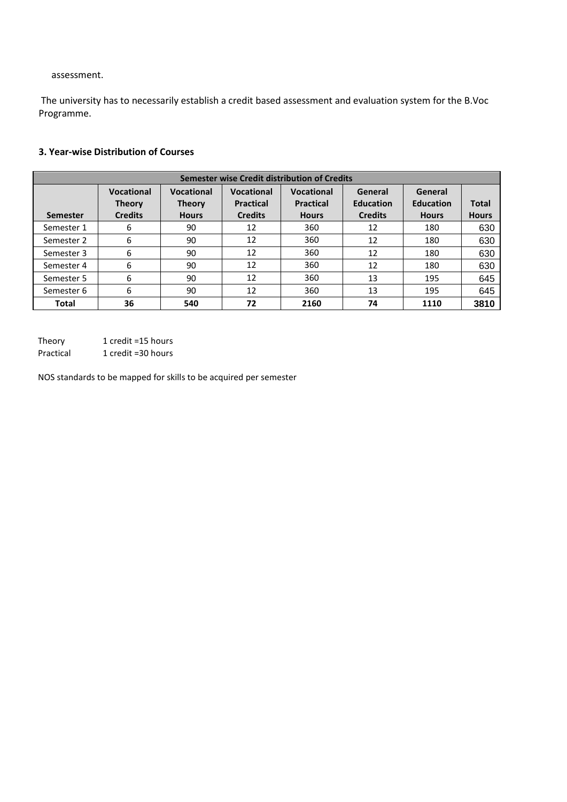assessment.

The university has to necessarily establish a credit based assessment and evaluation system for the B.Voc Programme.

# **3. Year-wise Distribution of Courses**

| Semester wise Credit distribution of Credits |                                                      |                                                    |                                                  |                                                       |                                               |                                             |                       |
|----------------------------------------------|------------------------------------------------------|----------------------------------------------------|--------------------------------------------------|-------------------------------------------------------|-----------------------------------------------|---------------------------------------------|-----------------------|
| <b>Semester</b>                              | <b>Vocational</b><br><b>Theory</b><br><b>Credits</b> | <b>Vocational</b><br><b>Theory</b><br><b>Hours</b> | Vocational<br><b>Practical</b><br><b>Credits</b> | <b>Vocational</b><br><b>Practical</b><br><b>Hours</b> | General<br><b>Education</b><br><b>Credits</b> | General<br><b>Education</b><br><b>Hours</b> | Total<br><b>Hours</b> |
| Semester 1                                   | 6                                                    | 90                                                 | 12                                               | 360                                                   | 12                                            | 180                                         | 630                   |
| Semester 2                                   | 6                                                    | 90                                                 | 12                                               | 360                                                   | 12                                            | 180                                         | 630                   |
| Semester 3                                   | 6                                                    | 90                                                 | 12                                               | 360                                                   | 12                                            | 180                                         | 630                   |
| Semester 4                                   | 6                                                    | 90                                                 | 12                                               | 360                                                   | 12                                            | 180                                         | 630                   |
| Semester 5                                   | 6                                                    | 90                                                 | 12                                               | 360                                                   | 13                                            | 195                                         | 645                   |
| Semester 6                                   | 6                                                    | 90                                                 | 12                                               | 360                                                   | 13                                            | 195                                         | 645                   |
| Total                                        | 36                                                   | 540                                                | 72                                               | 2160                                                  | 74                                            | 1110                                        | 3810                  |

Theory 1 credit =15 hours

Practical 1 credit =30 hours

NOS standards to be mapped for skills to be acquired per semester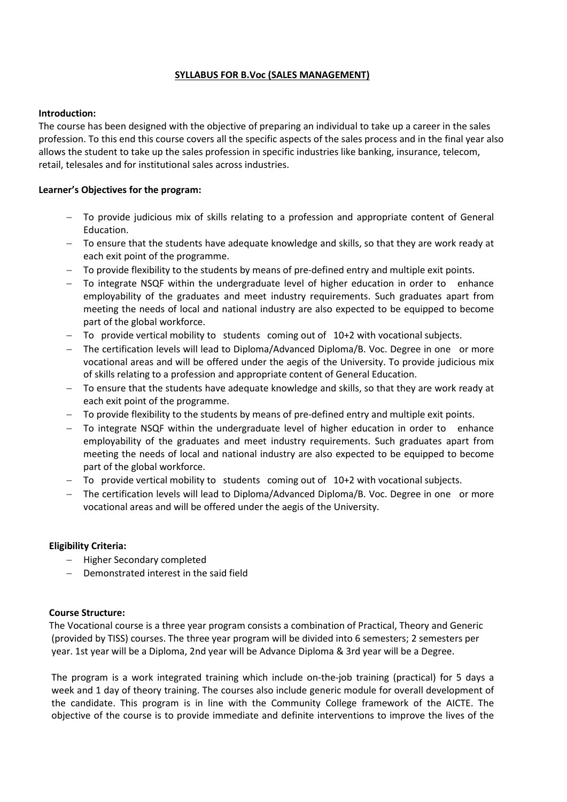# **SYLLABUS FOR B.Voc (SALES MANAGEMENT)**

### **Introduction:**

The course has been designed with the objective of preparing an individual to take up a career in the sales profession. To this end this course covers all the specific aspects of the sales process and in the final year also allows the student to take up the sales profession in specific industries like banking, insurance, telecom, retail, telesales and for institutional sales across industries.

# **Learner's Objectives for the program:**

- To provide judicious mix of skills relating to a profession and appropriate content of General Education.
- To ensure that the students have adequate knowledge and skills, so that they are work ready at each exit point of the programme.
- To provide flexibility to the students by means of pre-defined entry and multiple exit points.
- To integrate NSQF within the undergraduate level of higher education in order to enhance employability of the graduates and meet industry requirements. Such graduates apart from meeting the needs of local and national industry are also expected to be equipped to become part of the global workforce.
- To provide vertical mobility to students coming out of 10+2 with vocational subjects.
- The certification levels will lead to Diploma/Advanced Diploma/B. Voc. Degree in one or more vocational areas and will be offered under the aegis of the University. To provide judicious mix of skills relating to a profession and appropriate content of General Education.
- $-$  To ensure that the students have adequate knowledge and skills, so that they are work ready at each exit point of the programme.
- To provide flexibility to the students by means of pre-defined entry and multiple exit points.
- To integrate NSQF within the undergraduate level of higher education in order to enhance employability of the graduates and meet industry requirements. Such graduates apart from meeting the needs of local and national industry are also expected to be equipped to become part of the global workforce.
- $-$  To provide vertical mobility to students coming out of 10+2 with vocational subjects.
- The certification levels will lead to Diploma/Advanced Diploma/B. Voc. Degree in one or more vocational areas and will be offered under the aegis of the University.

### **Eligibility Criteria:**

- Higher Secondary completed
- Demonstrated interest in the said field

### **Course Structure:**

The Vocational course is a three year program consists a combination of Practical, Theory and Generic (provided by TISS) courses. The three year program will be divided into 6 semesters; 2 semesters per year. 1st year will be a Diploma, 2nd year will be Advance Diploma & 3rd year will be a Degree.

The program is a work integrated training which include on-the-job training (practical) for 5 days a week and 1 day of theory training. The courses also include generic module for overall development of the candidate. This program is in line with the Community College framework of the AICTE. The objective of the course is to provide immediate and definite interventions to improve the lives of the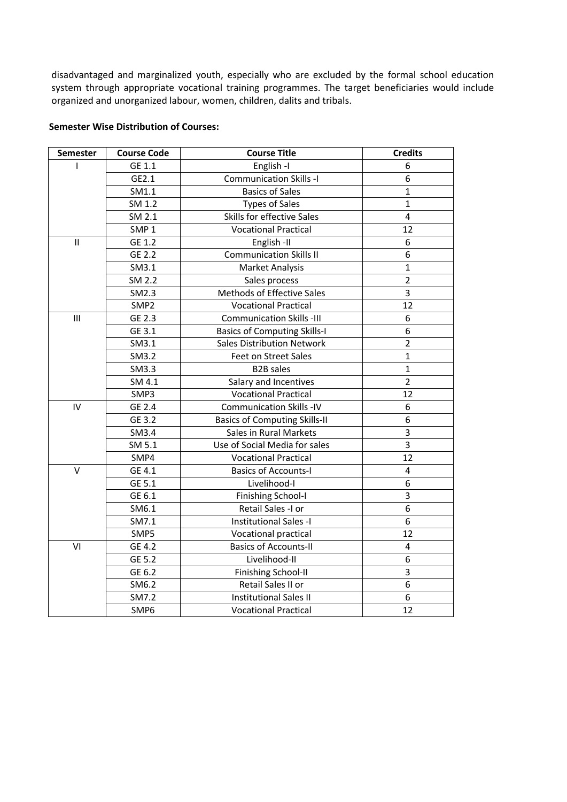disadvantaged and marginalized youth, especially who are excluded by the formal school education system through appropriate vocational training programmes. The target beneficiaries would include organized and unorganized labour, women, children, dalits and tribals.

# **Semester Wise Distribution of Courses:**

| Semester      | <b>Course Code</b> | <b>Course Title</b>                  | <b>Credits</b> |
|---------------|--------------------|--------------------------------------|----------------|
|               | GE 1.1             | English-I                            | 6              |
|               | GE2.1              | <b>Communication Skills -I</b>       | 6              |
|               | SM1.1              | <b>Basics of Sales</b>               | $\mathbf{1}$   |
|               | SM 1.2             | <b>Types of Sales</b>                | $\mathbf{1}$   |
|               | SM 2.1             | Skills for effective Sales           | 4              |
|               | SMP <sub>1</sub>   | <b>Vocational Practical</b>          | 12             |
| $\mathbf{II}$ | GE 1.2             | English-II                           | 6              |
|               | GE 2.2             | <b>Communication Skills II</b>       | 6              |
|               | SM3.1              | Market Analysis                      | $\mathbf{1}$   |
|               | SM 2.2             | Sales process                        | $\overline{2}$ |
|               | SM2.3              | Methods of Effective Sales           | 3              |
|               | SMP <sub>2</sub>   | <b>Vocational Practical</b>          | 12             |
| Ш             | GE 2.3             | <b>Communication Skills -III</b>     | 6              |
|               | GE 3.1             | <b>Basics of Computing Skills-I</b>  | 6              |
|               | SM3.1              | <b>Sales Distribution Network</b>    | $\overline{2}$ |
|               | SM3.2              | Feet on Street Sales                 | $\mathbf{1}$   |
|               | SM3.3              | <b>B2B</b> sales                     | $\mathbf{1}$   |
|               | SM 4.1             | Salary and Incentives                | $\overline{2}$ |
|               | SMP3               | <b>Vocational Practical</b>          | 12             |
| IV            | GE 2.4             | <b>Communication Skills -IV</b>      | 6              |
|               | GE 3.2             | <b>Basics of Computing Skills-II</b> | 6              |
|               | SM3.4              | Sales in Rural Markets               | 3              |
|               | SM 5.1             | Use of Social Media for sales        | 3              |
|               | SMP4               | <b>Vocational Practical</b>          | 12             |
| $\vee$        | GE 4.1             | <b>Basics of Accounts-I</b>          | 4              |
|               | GE 5.1             | Livelihood-I                         | 6              |
|               | GE 6.1             | <b>Finishing School-I</b>            | 3              |
|               | SM6.1              | Retail Sales -I or                   | 6              |
|               | SM7.1              | Institutional Sales -I               | 6              |
|               | SMP5               | Vocational practical                 | 12             |
| VI            | GE 4.2             | <b>Basics of Accounts-II</b>         | $\overline{4}$ |
|               | GE 5.2             | Livelihood-II                        | 6              |
|               | GE 6.2             | <b>Finishing School-II</b>           | 3              |
|               | SM6.2              | Retail Sales II or                   | 6              |
|               | SM7.2              | <b>Institutional Sales II</b>        | 6              |
|               | SMP6               | <b>Vocational Practical</b>          | 12             |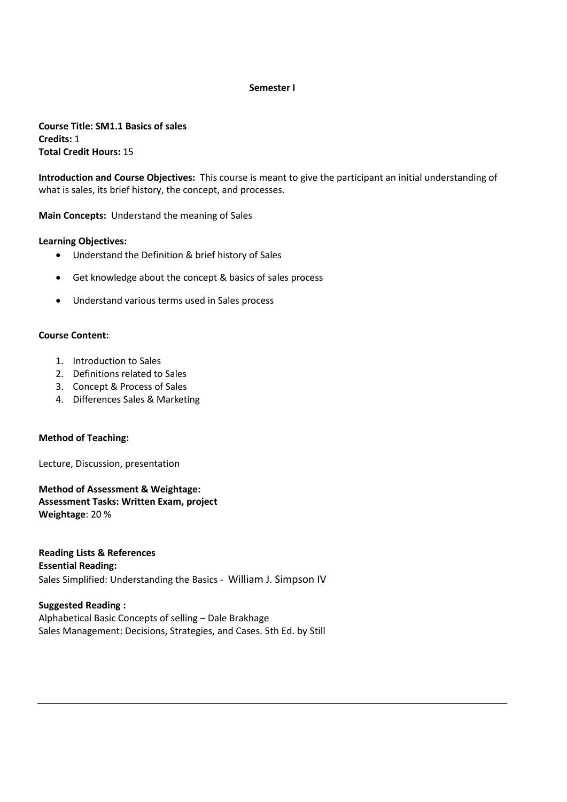#### **Semester I**

**Course Title: SM1.1 Basics of sales Credits:** 1 **Total Credit Hours:** 15

**Introduction and Course Objectives:** This course is meant to give the participant an initial understanding of what is sales, its brief history, the concept, and processes.

**Main Concepts:** Understand the meaning of Sales

### **Learning Objectives:**

- Understand the Definition & brief history of Sales
- Get knowledge about the concept & basics of sales process
- Understand various terms used in Sales process

### **Course Content:**

- 1. Introduction to Sales
- 2. Definitions related to Sales
- 3. Concept & Process of Sales
- 4. Differences Sales & Marketing

### **Method of Teaching:**

Lecture, Discussion, presentation

**Method of Assessment & Weightage: Assessment Tasks: Written Exam, project Weightage**: 20 %

**Reading Lists & References Essential Reading:** Sales Simplified: Understanding the Basics - William J. Simpson IV

**Suggested Reading :** Alphabetical Basic Concepts of selling – Dale Brakhage Sales Management: Decisions, Strategies, and Cases. 5th Ed. by Still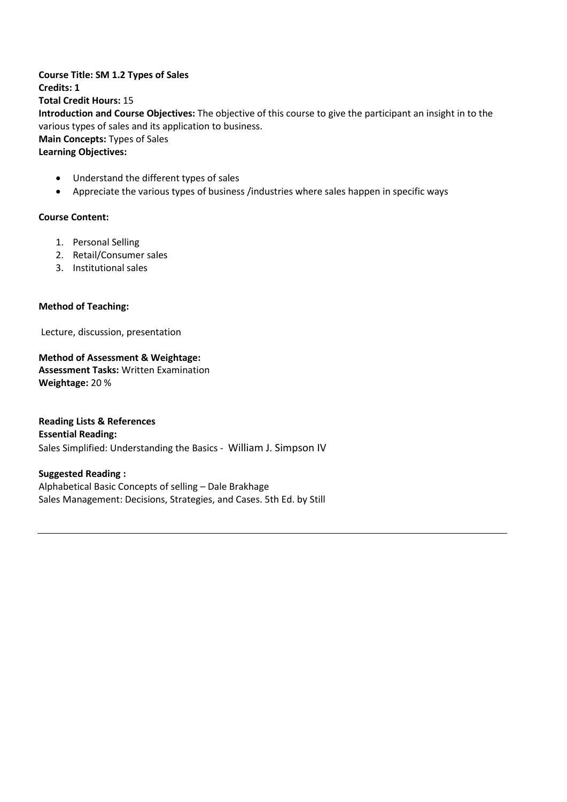# **Course Title: SM 1.2 Types of Sales Credits: 1 Total Credit Hours:** 15 **Introduction and Course Objectives:** The objective of this course to give the participant an insight in to the various types of sales and its application to business. **Main Concepts:** Types of Sales **Learning Objectives:**

- Understand the different types of sales
- Appreciate the various types of business /industries where sales happen in specific ways

# **Course Content:**

- 1. Personal Selling
- 2. Retail/Consumer sales
- 3. Institutional sales

# **Method of Teaching:**

Lecture, discussion, presentation

**Method of Assessment & Weightage: Assessment Tasks:** Written Examination **Weightage:** 20 %

**Reading Lists & References Essential Reading:** Sales Simplified: Understanding the Basics - William J. Simpson IV

**Suggested Reading :** Alphabetical Basic Concepts of selling – Dale Brakhage Sales Management: Decisions, Strategies, and Cases. 5th Ed. by Still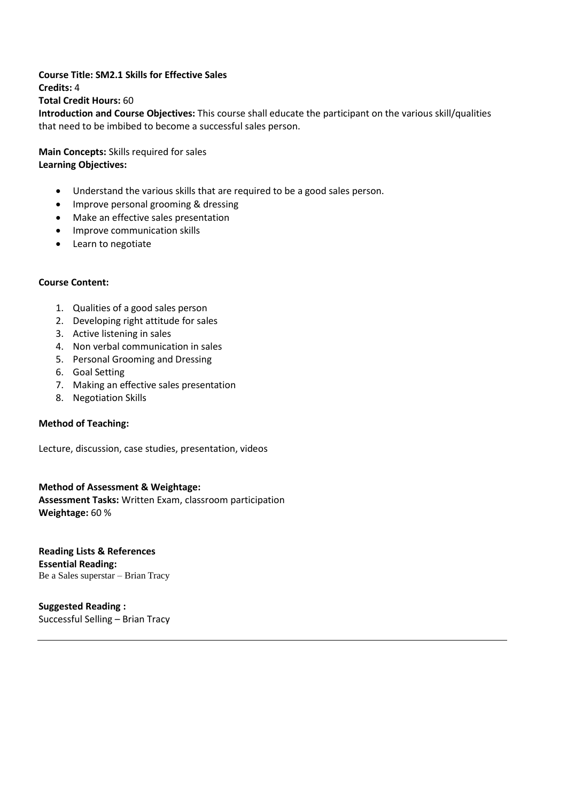### **Course Title: SM2.1 Skills for Effective Sales**

**Credits:** 4

# **Total Credit Hours:** 60

**Introduction and Course Objectives:** This course shall educate the participant on the various skill/qualities that need to be imbibed to become a successful sales person.

**Main Concepts:** Skills required for sales **Learning Objectives:**

- Understand the various skills that are required to be a good sales person.
- Improve personal grooming & dressing
- Make an effective sales presentation
- Improve communication skills
- Learn to negotiate

# **Course Content:**

- 1. Qualities of a good sales person
- 2. Developing right attitude for sales
- 3. Active listening in sales
- 4. Non verbal communication in sales
- 5. Personal Grooming and Dressing
- 6. Goal Setting
- 7. Making an effective sales presentation
- 8. Negotiation Skills

### **Method of Teaching:**

Lecture, discussion, case studies, presentation, videos

# **Method of Assessment & Weightage: Assessment Tasks:** Written Exam, classroom participation **Weightage:** 60 %

**Reading Lists & References Essential Reading:** Be a Sales superstar – Brian Tracy

**Suggested Reading :** Successful Selling – Brian Tracy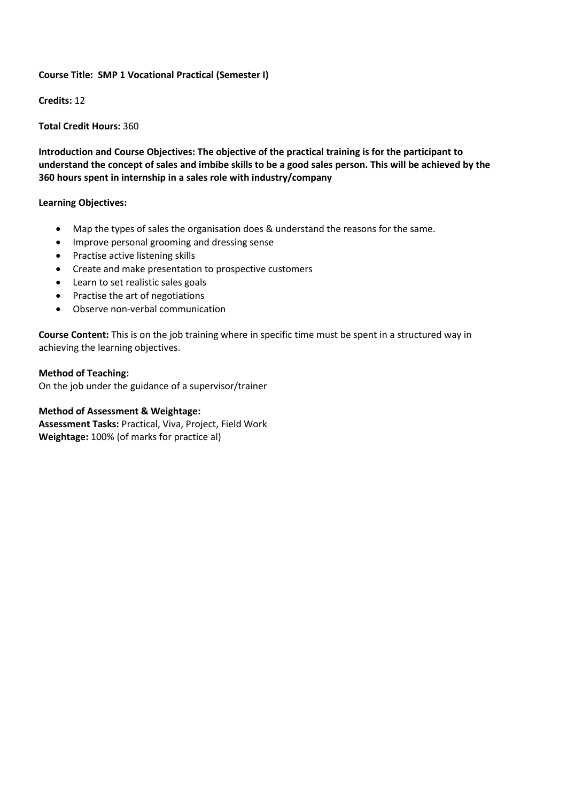# **Course Title: SMP 1 Vocational Practical (Semester I)**

**Credits:** 12

**Total Credit Hours:** 360

**Introduction and Course Objectives: The objective of the practical training is for the participant to** understand the concept of sales and imbibe skills to be a good sales person. This will be achieved by the **360 hours spent in internship in a sales role with industry/company**

# **Learning Objectives:**

- Map the types of sales the organisation does & understand the reasons for the same.
- Improve personal grooming and dressing sense
- Practise active listening skills
- Create and make presentation to prospective customers
- Learn to set realistic sales goals
- Practise the art of negotiations
- Observe non-verbal communication

**Course Content:** This is on the job training where in specific time must be spent in a structured way in achieving the learning objectives.

**Method of Teaching:**  On the job under the guidance of a supervisor/trainer

# **Method of Assessment & Weightage:**

**Assessment Tasks:** Practical, Viva, Project, Field Work **Weightage:** 100% (of marks for practice al)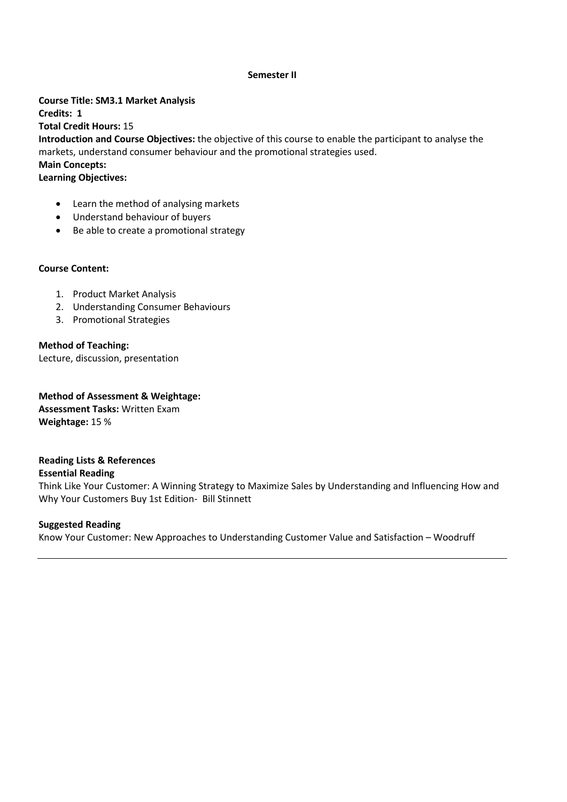### **Semester II**

**Course Title: SM3.1 Market Analysis Credits: 1 Total Credit Hours:** 15 **Introduction and Course Objectives:** the objective of this course to enable the participant to analyse the markets, understand consumer behaviour and the promotional strategies used. **Main Concepts:**

**Learning Objectives:**

- Learn the method of analysing markets
- Understand behaviour of buyers
- Be able to create a promotional strategy

### **Course Content:**

- 1. Product Market Analysis
- 2. Understanding Consumer Behaviours
- 3. Promotional Strategies

# **Method of Teaching:**

Lecture, discussion, presentation

**Method of Assessment & Weightage: Assessment Tasks:** Written Exam **Weightage:** 15 %

# **Reading Lists & References**

### **Essential Reading**

Think Like Your Customer: A Winning Strategy to Maximize Sales by Understanding and Influencing How and Why Your Customers Buy 1st Edition- Bill Stinnett

### **Suggested Reading**

Know Your Customer: New Approaches to Understanding Customer Value and Satisfaction – Woodruff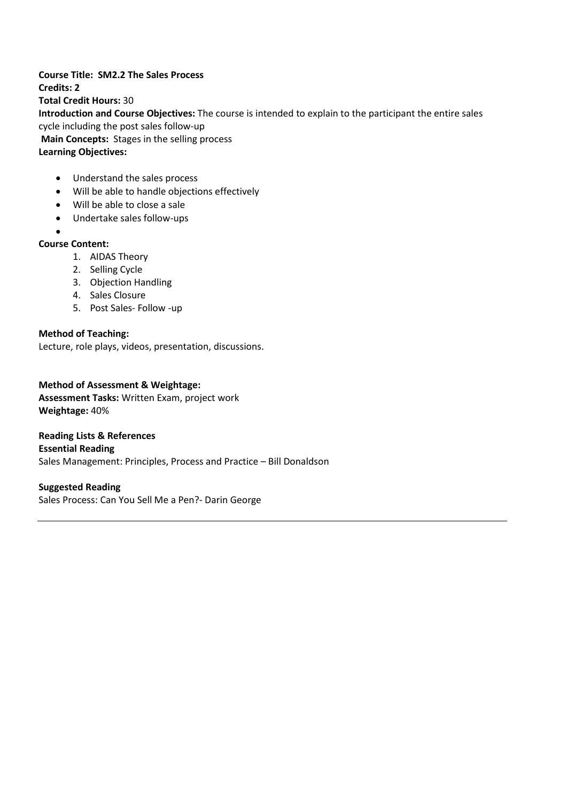**Course Title: SM2.2 The Sales Process Credits: 2 Total Credit Hours:** 30 **Introduction and Course Objectives:** The course is intended to explain to the participant the entire sales cycle including the post sales follow-up **Main Concepts:** Stages in the selling process **Learning Objectives:**

- Understand the sales process
- Will be able to handle objections effectively
- Will be able to close a sale
- Undertake sales follow-ups
- $\bullet$

# **Course Content:**

- 1. AIDAS Theory
- 2. Selling Cycle
- 3. Objection Handling
- 4. Sales Closure
- 5. Post Sales- Follow -up

# **Method of Teaching:**

Lecture, role plays, videos, presentation, discussions.

# **Method of Assessment & Weightage:**

**Assessment Tasks:** Written Exam, project work **Weightage:** 40%

# **Reading Lists & References Essential Reading**

Sales Management: Principles, Process and Practice – Bill Donaldson

### **Suggested Reading**

Sales Process: Can You Sell Me a Pen?- Darin George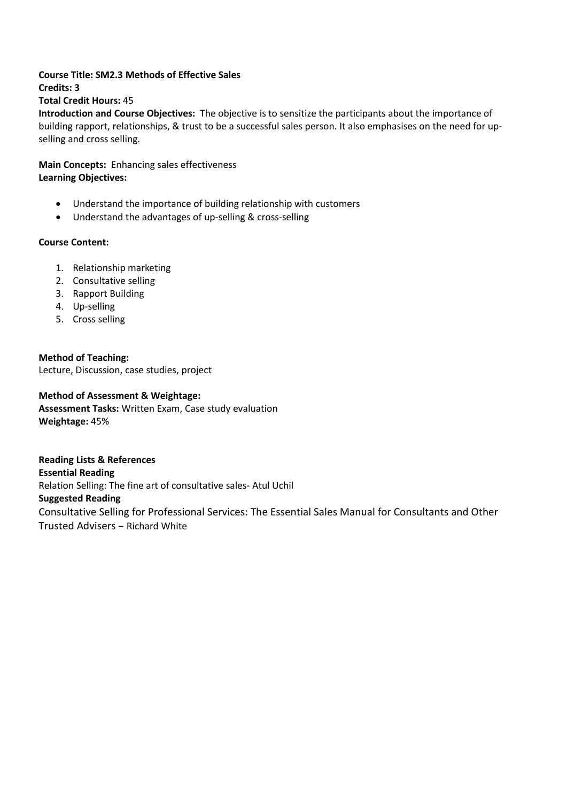### **Course Title: SM2.3 Methods of Effective Sales Credits: 3**

# **Total Credit Hours:** 45

**Introduction and Course Objectives:** The objective is to sensitize the participants about the importance of building rapport, relationships, & trust to be a successful sales person. It also emphasises on the need for upselling and cross selling.

**Main Concepts:** Enhancing sales effectiveness **Learning Objectives:**

- Understand the importance of building relationship with customers
- Understand the advantages of up-selling & cross-selling

# **Course Content:**

- 1. Relationship marketing
- 2. Consultative selling
- 3. Rapport Building
- 4. Up-selling
- 5. Cross selling

**Method of Teaching:** Lecture, Discussion, case studies, project

# **Method of Assessment & Weightage:**

**Assessment Tasks:** Written Exam, Case study evaluation **Weightage:** 45%

**Reading Lists & References Essential Reading** Relation Selling: The fine art of consultative sales- Atul Uchil **Suggested Reading** Consultative Selling for Professional Services: The Essential Sales Manual for Consultants and Other Trusted Advisers – Richard White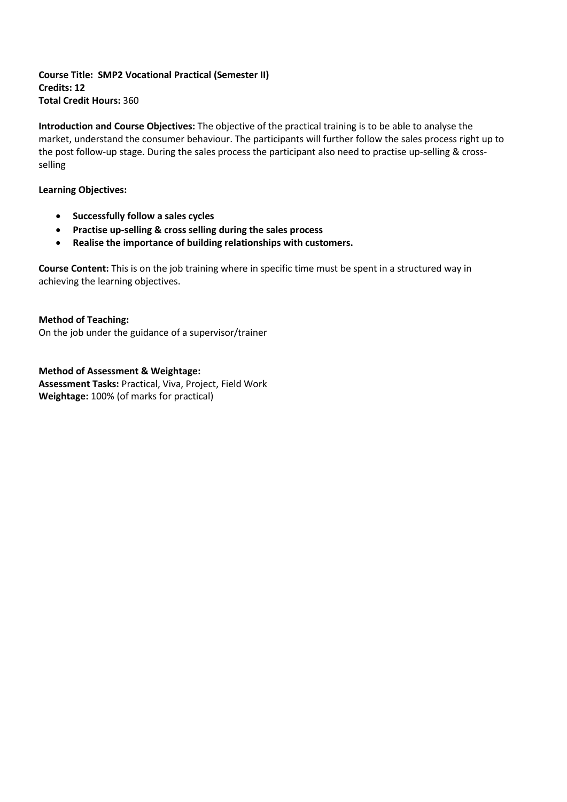**Course Title: SMP2 Vocational Practical (Semester II) Credits: 12 Total Credit Hours:** 360

**Introduction and Course Objectives:** The objective of the practical training is to be able to analyse the market, understand the consumer behaviour. The participants will further follow the sales process right up to the post follow-up stage. During the sales process the participant also need to practise up-selling & crossselling

### **Learning Objectives:**

- **Successfully follow a sales cycles**
- **Practise up-selling & cross selling during the sales process**
- **Realise the importance of building relationships with customers.**

**Course Content:** This is on the job training where in specific time must be spent in a structured way in achieving the learning objectives.

**Method of Teaching:**  On the job under the guidance of a supervisor/trainer

**Method of Assessment & Weightage: Assessment Tasks:** Practical, Viva, Project, Field Work **Weightage:** 100% (of marks for practical)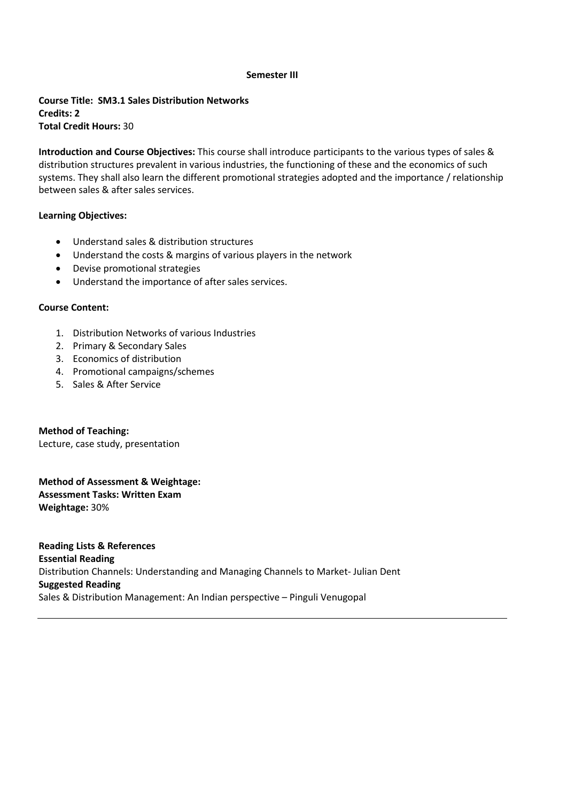#### **Semester III**

**Course Title: SM3.1 Sales Distribution Networks Credits: 2 Total Credit Hours:** 30

**Introduction and Course Objectives:** This course shall introduce participants to the various types of sales & distribution structures prevalent in various industries, the functioning of these and the economics of such systems. They shall also learn the different promotional strategies adopted and the importance / relationship between sales & after sales services.

# **Learning Objectives:**

- Understand sales & distribution structures
- Understand the costs & margins of various players in the network
- Devise promotional strategies
- Understand the importance of after sales services.

### **Course Content:**

- 1. Distribution Networks of various Industries
- 2. Primary & Secondary Sales
- 3. Economics of distribution
- 4. Promotional campaigns/schemes
- 5. Sales & After Service

**Method of Teaching:** Lecture, case study, presentation

**Method of Assessment & Weightage: Assessment Tasks: Written Exam Weightage:** 30%

**Reading Lists & References Essential Reading** Distribution Channels: Understanding and Managing Channels to Market- Julian Dent **Suggested Reading** Sales & Distribution Management: An Indian perspective – Pinguli Venugopal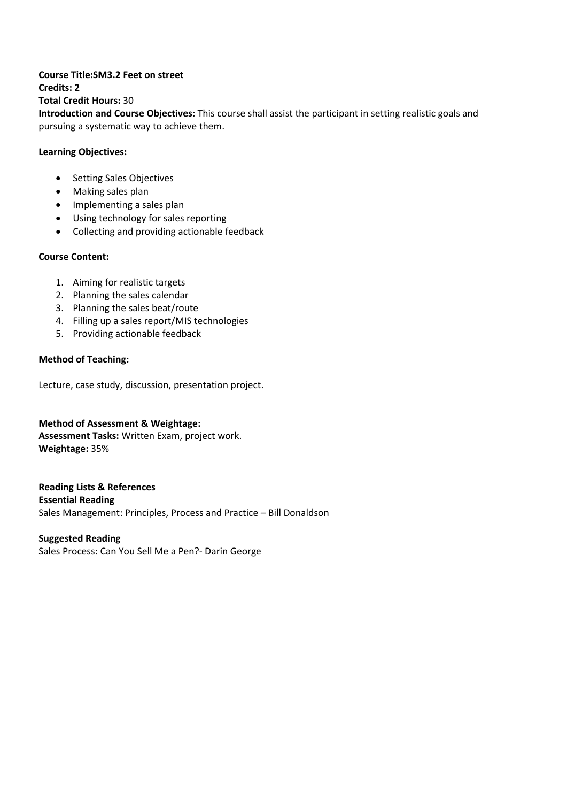#### **Course Title:SM3.2 Feet on street Credits: 2**

**Total Credit Hours:** 30

**Introduction and Course Objectives:** This course shall assist the participant in setting realistic goals and pursuing a systematic way to achieve them.

# **Learning Objectives:**

- Setting Sales Objectives
- Making sales plan
- Implementing a sales plan
- Using technology for sales reporting
- Collecting and providing actionable feedback

# **Course Content:**

- 1. Aiming for realistic targets
- 2. Planning the sales calendar
- 3. Planning the sales beat/route
- 4. Filling up a sales report/MIS technologies
- 5. Providing actionable feedback

# **Method of Teaching:**

Lecture, case study, discussion, presentation project.

**Method of Assessment & Weightage: Assessment Tasks:** Written Exam, project work. **Weightage:** 35%

**Reading Lists & References Essential Reading** Sales Management: Principles, Process and Practice – Bill Donaldson

### **Suggested Reading**

Sales Process: Can You Sell Me a Pen?- Darin George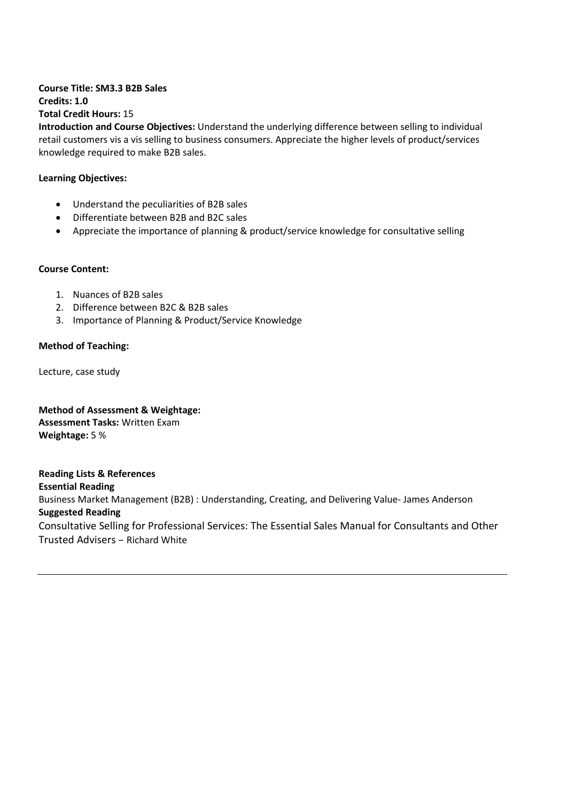# **Course Title: SM3.3 B2B Sales Credits: 1.0 Total Credit Hours:** 15

**Introduction and Course Objectives:** Understand the underlying difference between selling to individual retail customers vis a vis selling to business consumers. Appreciate the higher levels of product/services knowledge required to make B2B sales.

# **Learning Objectives:**

- Understand the peculiarities of B2B sales
- Differentiate between B2B and B2C sales
- Appreciate the importance of planning & product/service knowledge for consultative selling

# **Course Content:**

- 1. Nuances of B2B sales
- 2. Difference between B2C & B2B sales
- 3. Importance of Planning & Product/Service Knowledge

# **Method of Teaching:**

Lecture, case study

**Method of Assessment & Weightage: Assessment Tasks:** Written Exam **Weightage:** 5 %

**Reading Lists & References Essential Reading** Business Market Management (B2B) : Understanding, Creating, and Delivering Value- James Anderson **Suggested Reading** Consultative Selling for Professional Services: The Essential Sales Manual for Consultants and Other Trusted Advisers – Richard White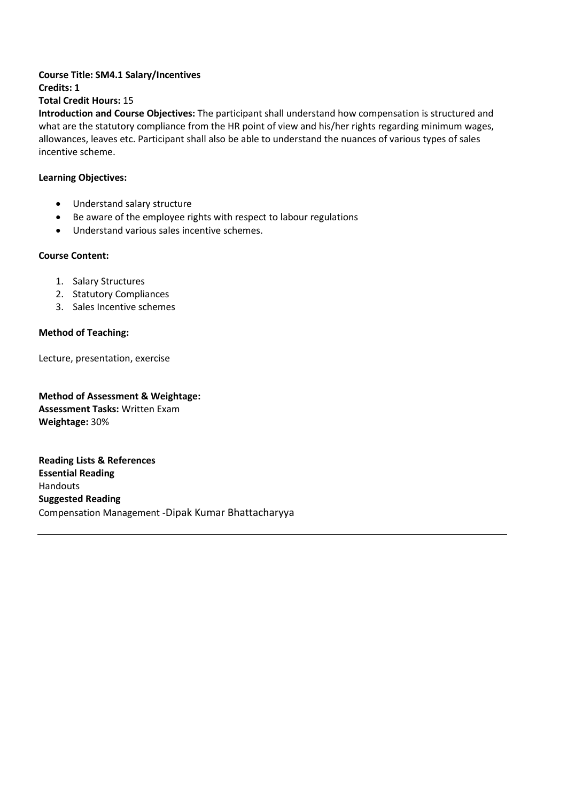#### **Course Title: SM4.1 Salary/Incentives Credits: 1**

**Total Credit Hours:** 15

**Introduction and Course Objectives:** The participant shall understand how compensation is structured and what are the statutory compliance from the HR point of view and his/her rights regarding minimum wages, allowances, leaves etc. Participant shall also be able to understand the nuances of various types of sales incentive scheme.

# **Learning Objectives:**

- Understand salary structure
- Be aware of the employee rights with respect to labour regulations
- Understand various sales incentive schemes.

# **Course Content:**

- 1. Salary Structures
- 2. Statutory Compliances
- 3. Sales Incentive schemes

# **Method of Teaching:**

Lecture, presentation, exercise

**Method of Assessment & Weightage: Assessment Tasks:** Written Exam **Weightage:** 30%

**Reading Lists & References Essential Reading** Handouts **Suggested Reading** Compensation Management -Dipak Kumar Bhattacharyya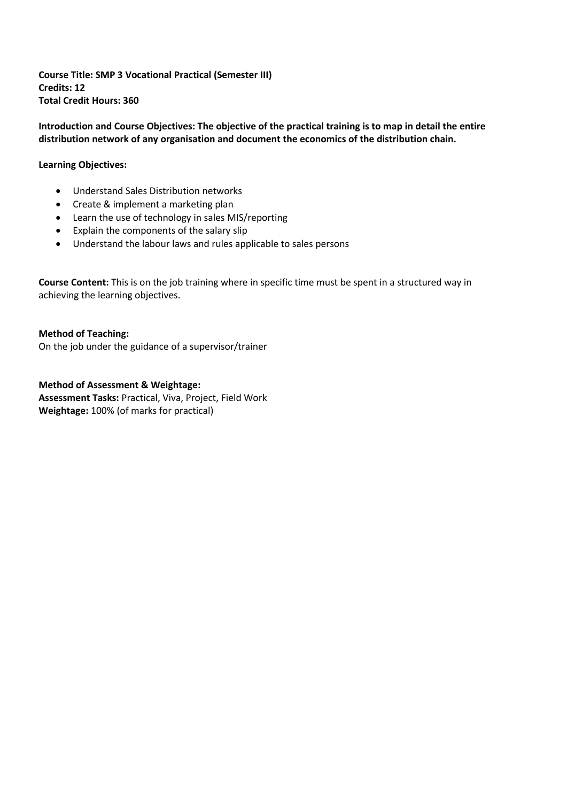**Course Title: SMP 3 Vocational Practical (Semester III) Credits: 12 Total Credit Hours: 360**

Introduction and Course Objectives: The objective of the practical training is to map in detail the entire **distribution network of any organisation and document the economics of the distribution chain.**

# **Learning Objectives:**

- Understand Sales Distribution networks
- Create & implement a marketing plan
- Learn the use of technology in sales MIS/reporting
- Explain the components of the salary slip
- Understand the labour laws and rules applicable to sales persons

**Course Content:** This is on the job training where in specific time must be spent in a structured way in achieving the learning objectives.

**Method of Teaching:**  On the job under the guidance of a supervisor/trainer

**Method of Assessment & Weightage: Assessment Tasks:** Practical, Viva, Project, Field Work **Weightage:** 100% (of marks for practical)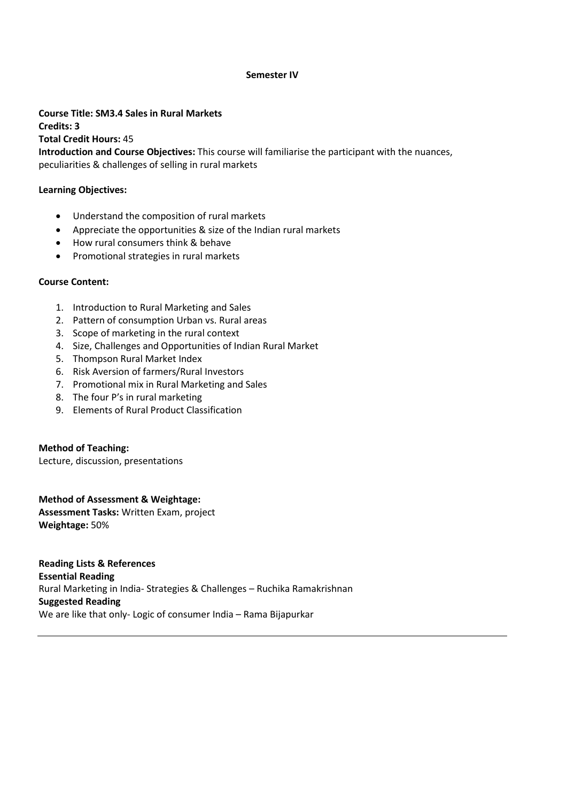### **Semester IV**

**Course Title: SM3.4 Sales in Rural Markets Credits: 3 Total Credit Hours:** 45 **Introduction and Course Objectives:** This course will familiarise the participant with the nuances, peculiarities & challenges of selling in rural markets

#### **Learning Objectives:**

- Understand the composition of rural markets
- Appreciate the opportunities & size of the Indian rural markets
- How rural consumers think & behave
- Promotional strategies in rural markets

### **Course Content:**

- 1. Introduction to Rural Marketing and Sales
- 2. Pattern of consumption Urban vs. Rural areas
- 3. Scope of marketing in the rural context
- 4. Size, Challenges and Opportunities of Indian Rural Market
- 5. Thompson Rural Market Index
- 6. Risk Aversion of farmers/Rural Investors
- 7. Promotional mix in Rural Marketing and Sales
- 8. The four P's in rural marketing
- 9. Elements of Rural Product Classification

### **Method of Teaching:**

Lecture, discussion, presentations

**Method of Assessment & Weightage: Assessment Tasks:** Written Exam, project **Weightage:** 50%

**Reading Lists & References Essential Reading** Rural Marketing in India- Strategies & Challenges – Ruchika Ramakrishnan **Suggested Reading** We are like that only- Logic of consumer India – Rama Bijapurkar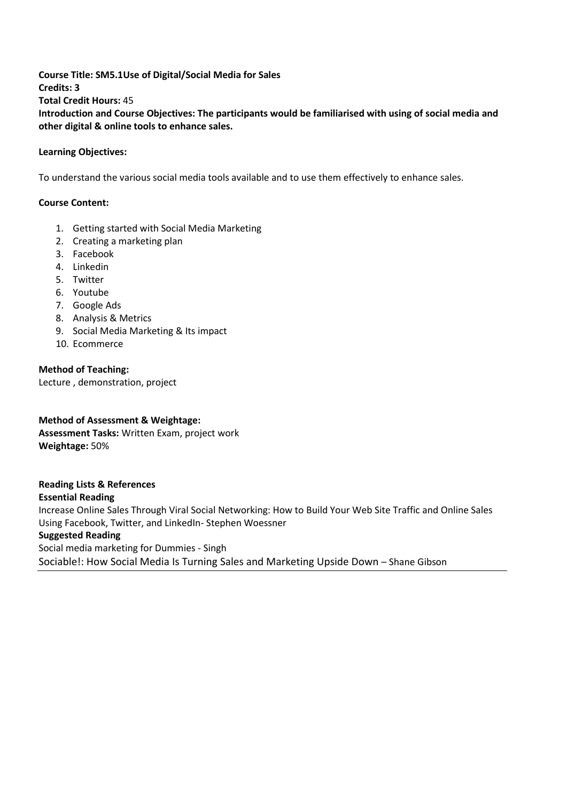**Course Title: SM5.1Use of Digital/Social Media for Sales Credits: 3 Total Credit Hours:** 45 **Introduction and Course Objectives: The participants would be familiarised with using of social media and other digital & online tools to enhance sales.**

# **Learning Objectives:**

To understand the various social media tools available and to use them effectively to enhance sales.

### **Course Content:**

- 1. Getting started with Social Media Marketing
- 2. Creating a marketing plan
- 3. Facebook
- 4. Linkedin
- 5. Twitter
- 6. Youtube
- 7. Google Ads
- 8. Analysis & Metrics
- 9. Social Media Marketing & Its impact
- 10. Ecommerce

**Method of Teaching:** Lecture , demonstration, project

**Method of Assessment & Weightage: Assessment Tasks:** Written Exam, project work **Weightage:** 50%

**Reading Lists & References Essential Reading** Increase Online Sales Through Viral Social Networking: How to Build Your Web Site Traffic and Online Sales Using Facebook, Twitter, and LinkedIn- Stephen Woessner

# **Suggested Reading**

Social media marketing for Dummies - Singh Sociable!: How Social Media Is Turning Sales and Marketing Upside Down – Shane Gibson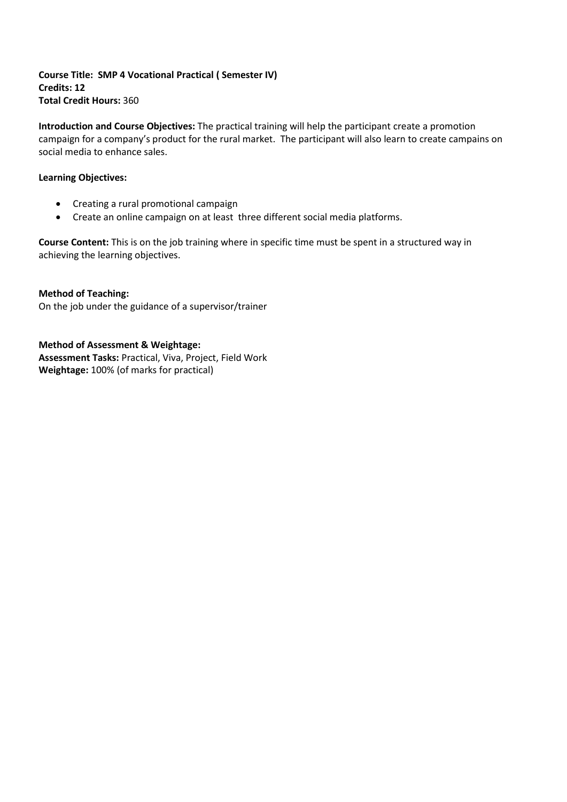**Course Title: SMP 4 Vocational Practical ( Semester IV) Credits: 12 Total Credit Hours:** 360

**Introduction and Course Objectives:** The practical training will help the participant create a promotion campaign for a company's product for the rural market. The participant will also learn to create campains on social media to enhance sales.

# **Learning Objectives:**

- Creating a rural promotional campaign
- Create an online campaign on at least three different social media platforms.

**Course Content:** This is on the job training where in specific time must be spent in a structured way in achieving the learning objectives.

**Method of Teaching:**  On the job under the guidance of a supervisor/trainer

**Method of Assessment & Weightage: Assessment Tasks:** Practical, Viva, Project, Field Work **Weightage:** 100% (of marks for practical)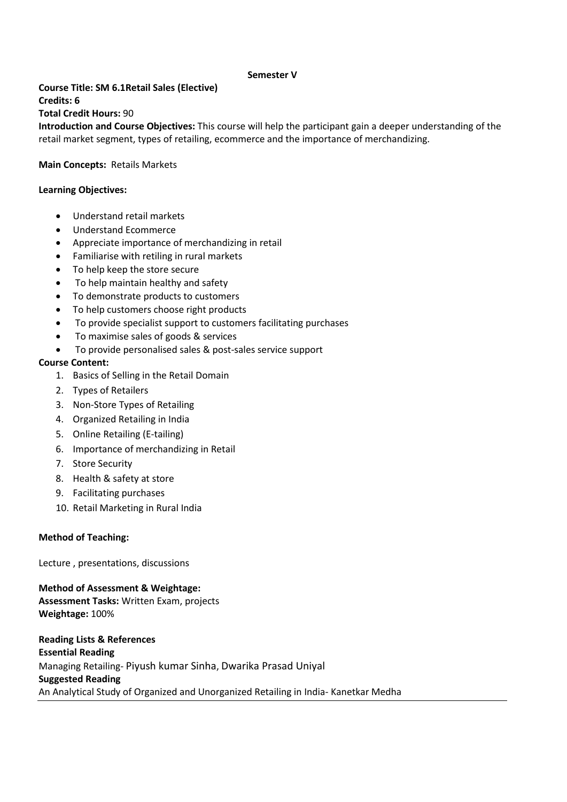### **Semester V**

**Course Title: SM 6.1Retail Sales (Elective) Credits: 6 Total Credit Hours:** 90

**Introduction and Course Objectives:** This course will help the participant gain a deeper understanding of the retail market segment, types of retailing, ecommerce and the importance of merchandizing.

### **Main Concepts:** Retails Markets

#### **Learning Objectives:**

- Understand retail markets
- Understand Ecommerce
- Appreciate importance of merchandizing in retail
- Familiarise with retiling in rural markets
- To help keep the store secure
- To help maintain healthy and safety
- To demonstrate products to customers
- To help customers choose right products
- To provide specialist support to customers facilitating purchases
- To maximise sales of goods & services
- To provide personalised sales & post-sales service support

### **Course Content:**

- 1. Basics of Selling in the Retail Domain
- 2. Types of Retailers
- 3. Non-Store Types of Retailing
- 4. Organized Retailing in India
- 5. Online Retailing (E-tailing)
- 6. Importance of merchandizing in Retail
- 7. Store Security
- 8. Health & safety at store
- 9. Facilitating purchases
- 10. Retail Marketing in Rural India

### **Method of Teaching:**

Lecture , presentations, discussions

**Method of Assessment & Weightage: Assessment Tasks:** Written Exam, projects **Weightage:** 100%

**Reading Lists & References Essential Reading** Managing Retailing- Piyush kumar Sinha, Dwarika Prasad Uniyal **Suggested Reading** An Analytical Study of Organized and Unorganized Retailing in India- Kanetkar Medha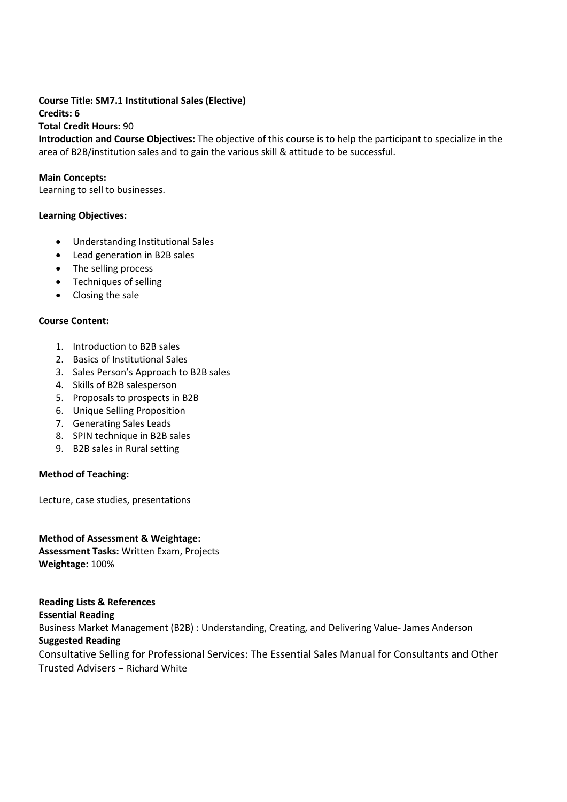# **Course Title: SM7.1 Institutional Sales (Elective) Credits: 6 Total Credit Hours:** 90

**Introduction and Course Objectives:** The objective of this course is to help the participant to specialize in the area of B2B/institution sales and to gain the various skill & attitude to be successful.

# **Main Concepts:**

Learning to sell to businesses.

# **Learning Objectives:**

- Understanding Institutional Sales
- Lead generation in B2B sales
- The selling process
- Techniques of selling
- Closing the sale

# **Course Content:**

- 1. Introduction to B2B sales
- 2. Basics of Institutional Sales
- 3. Sales Person's Approach to B2B sales
- 4. Skills of B2B salesperson
- 5. Proposals to prospects in B2B
- 6. Unique Selling Proposition
- 7. Generating Sales Leads
- 8. SPIN technique in B2B sales
- 9. B2B sales in Rural setting

# **Method of Teaching:**

Lecture, case studies, presentations

**Method of Assessment & Weightage: Assessment Tasks:** Written Exam, Projects **Weightage:** 100%

**Reading Lists & References Essential Reading** Business Market Management (B2B) : Understanding, Creating, and Delivering Value- James Anderson **Suggested Reading** Consultative Selling for Professional Services: The Essential Sales Manual for Consultants and Other Trusted Advisers – Richard White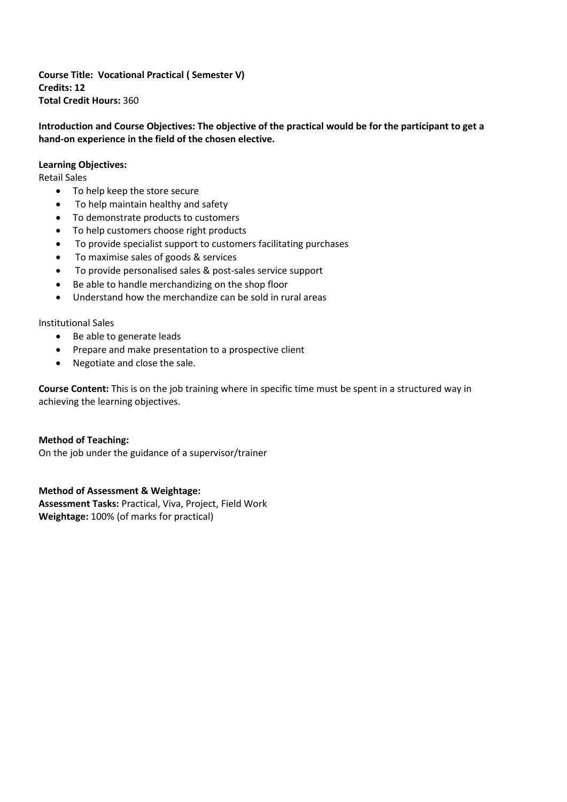**Course Title: Vocational Practical ( Semester V) Credits: 12 Total Credit Hours:** 360

**Introduction and Course Objectives: The objective of the practical would be for the participant to get a hand-on experience in the field of the chosen elective.**

### **Learning Objectives:**

Retail Sales

- To help keep the store secure
- To help maintain healthy and safety
- To demonstrate products to customers
- To help customers choose right products
- To provide specialist support to customers facilitating purchases
- To maximise sales of goods & services
- To provide personalised sales & post-sales service support
- Be able to handle merchandizing on the shop floor
- Understand how the merchandize can be sold in rural areas

### Institutional Sales

- Be able to generate leads
- Prepare and make presentation to a prospective client
- Negotiate and close the sale.

**Course Content:** This is on the job training where in specific time must be spent in a structured way in achieving the learning objectives.

### **Method of Teaching:**

On the job under the guidance of a supervisor/trainer

### **Method of Assessment & Weightage:**

**Assessment Tasks:** Practical, Viva, Project, Field Work **Weightage:** 100% (of marks for practical)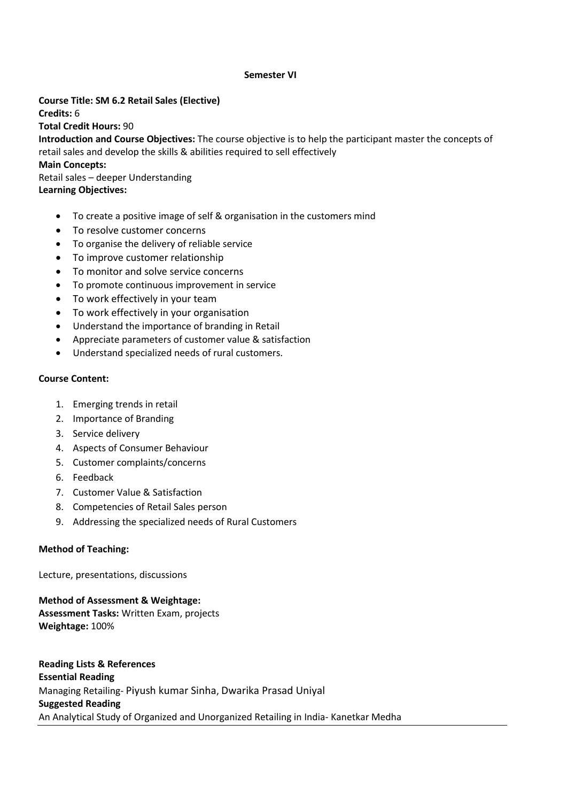### **Semester VI**

**Course Title: SM 6.2 Retail Sales (Elective) Credits:** 6 **Total Credit Hours:** 90 **Introduction and Course Objectives:** The course objective is to help the participant master the concepts of retail sales and develop the skills & abilities required to sell effectively **Main Concepts:** Retail sales – deeper Understanding **Learning Objectives:**

- To create a positive image of self & organisation in the customers mind
- To resolve customer concerns
- To organise the delivery of reliable service
- To improve customer relationship
- To monitor and solve service concerns
- To promote continuous improvement in service
- To work effectively in your team
- To work effectively in your organisation
- Understand the importance of branding in Retail
- Appreciate parameters of customer value & satisfaction
- Understand specialized needs of rural customers.

### **Course Content:**

- 1. Emerging trends in retail
- 2. Importance of Branding
- 3. Service delivery
- 4. Aspects of Consumer Behaviour
- 5. Customer complaints/concerns
- 6. Feedback
- 7. Customer Value & Satisfaction
- 8. Competencies of Retail Sales person
- 9. Addressing the specialized needs of Rural Customers

### **Method of Teaching:**

Lecture, presentations, discussions

**Method of Assessment & Weightage: Assessment Tasks:** Written Exam, projects **Weightage:** 100%

**Reading Lists & References Essential Reading** Managing Retailing- Piyush kumar Sinha, Dwarika Prasad Uniyal **Suggested Reading** An Analytical Study of Organized and Unorganized Retailing in India- Kanetkar Medha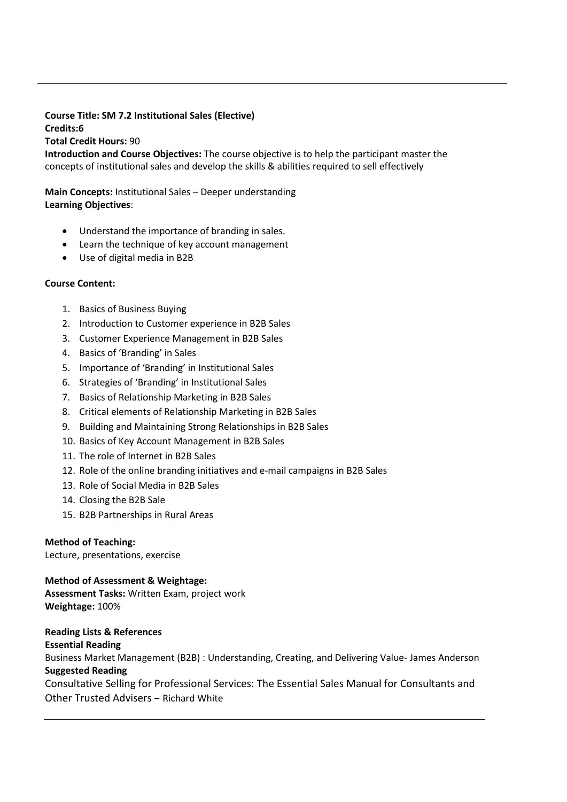# **Course Title: SM 7.2 Institutional Sales (Elective) Credits:6 Total Credit Hours:** 90

**Introduction and Course Objectives:** The course objective is to help the participant master the concepts of institutional sales and develop the skills & abilities required to sell effectively

**Main Concepts:** Institutional Sales – Deeper understanding **Learning Objectives**:

- Understand the importance of branding in sales.
- Learn the technique of key account management
- Use of digital media in B2B

# **Course Content:**

- 1. Basics of Business Buying
- 2. Introduction to Customer experience in B2B Sales
- 3. Customer Experience Management in B2B Sales
- 4. Basics of 'Branding' in Sales
- 5. Importance of 'Branding' in Institutional Sales
- 6. Strategies of 'Branding' in Institutional Sales
- 7. Basics of Relationship Marketing in B2B Sales
- 8. Critical elements of Relationship Marketing in B2B Sales
- 9. Building and Maintaining Strong Relationships in B2B Sales
- 10. Basics of Key Account Management in B2B Sales
- 11. The role of Internet in B2B Sales
- 12. Role of the online branding initiatives and e-mail campaigns in B2B Sales
- 13. Role of Social Media in B2B Sales
- 14. Closing the B2B Sale
- 15. B2B Partnerships in Rural Areas

# **Method of Teaching:**

Lecture, presentations, exercise

**Method of Assessment & Weightage: Assessment Tasks:** Written Exam, project work **Weightage:** 100%

# **Reading Lists & References**

# **Essential Reading**

Business Market Management (B2B) : Understanding, Creating, and Delivering Value- James Anderson **Suggested Reading**

Consultative Selling for Professional Services: The Essential Sales Manual for Consultants and Other Trusted Advisers – Richard White